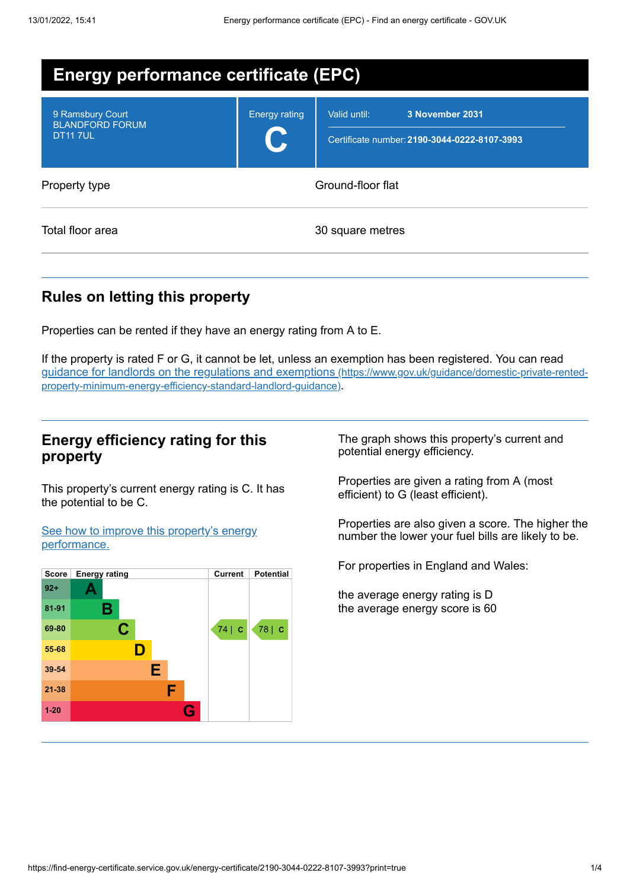| <b>Energy performance certificate (EPC)</b>                   |                      |                                                                                 |  |
|---------------------------------------------------------------|----------------------|---------------------------------------------------------------------------------|--|
| 9 Ramsbury Court<br><b>BLANDFORD FORUM</b><br><b>DT11 7UL</b> | <b>Energy rating</b> | Valid until:<br>3 November 2031<br>Certificate number: 2190-3044-0222-8107-3993 |  |
| Property type                                                 | Ground-floor flat    |                                                                                 |  |
| Total floor area                                              | 30 square metres     |                                                                                 |  |

# **Rules on letting this property**

Properties can be rented if they have an energy rating from A to E.

If the property is rated F or G, it cannot be let, unless an exemption has been registered. You can read guidance for landlords on the regulations and exemptions (https://www.gov.uk/guidance/domestic-private-rented[property-minimum-energy-efficiency-standard-landlord-guidance\)](https://www.gov.uk/guidance/domestic-private-rented-property-minimum-energy-efficiency-standard-landlord-guidance).

## **Energy efficiency rating for this property**

This property's current energy rating is C. It has the potential to be C.

See how to improve this property's energy [performance.](#page-2-0)



The graph shows this property's current and potential energy efficiency.

Properties are given a rating from A (most efficient) to G (least efficient).

Properties are also given a score. The higher the number the lower your fuel bills are likely to be.

For properties in England and Wales:

the average energy rating is D the average energy score is 60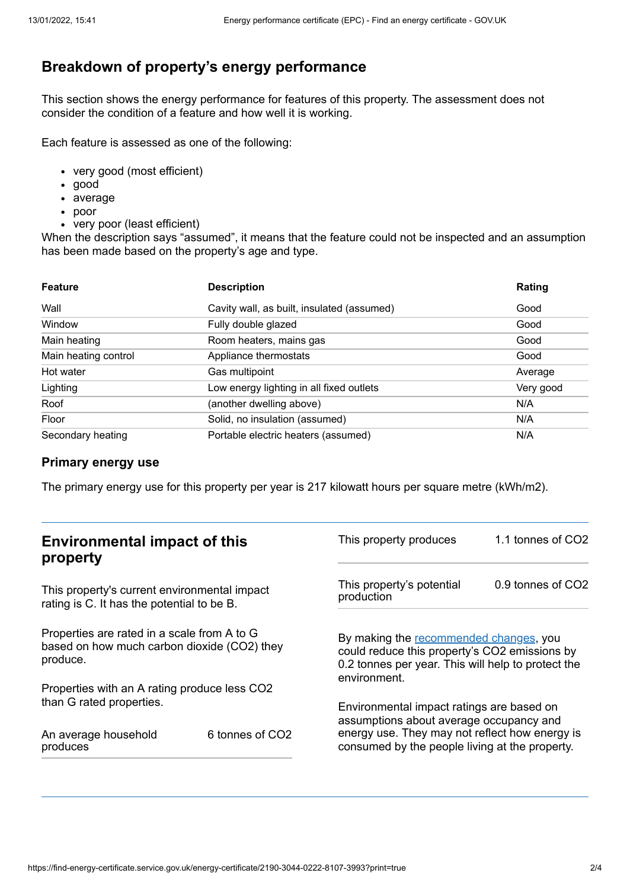# **Breakdown of property's energy performance**

This section shows the energy performance for features of this property. The assessment does not consider the condition of a feature and how well it is working.

Each feature is assessed as one of the following:

- very good (most efficient)
- good
- average
- poor
- very poor (least efficient)

When the description says "assumed", it means that the feature could not be inspected and an assumption has been made based on the property's age and type.

| <b>Feature</b>       | <b>Description</b>                         | Rating    |
|----------------------|--------------------------------------------|-----------|
| Wall                 | Cavity wall, as built, insulated (assumed) | Good      |
| Window               | Fully double glazed                        | Good      |
| Main heating         | Room heaters, mains gas                    | Good      |
| Main heating control | Appliance thermostats                      | Good      |
| Hot water            | Gas multipoint                             | Average   |
| Lighting             | Low energy lighting in all fixed outlets   | Very good |
| Roof                 | (another dwelling above)                   | N/A       |
| Floor                | Solid, no insulation (assumed)             | N/A       |
| Secondary heating    | Portable electric heaters (assumed)        | N/A       |

#### **Primary energy use**

The primary energy use for this property per year is 217 kilowatt hours per square metre (kWh/m2).

| <b>Environmental impact of this</b><br>property                                                        |                 | This property produces                                                                                                                                                                   | 1.1 tonnes of CO2 |
|--------------------------------------------------------------------------------------------------------|-----------------|------------------------------------------------------------------------------------------------------------------------------------------------------------------------------------------|-------------------|
| This property's current environmental impact<br>rating is C. It has the potential to be B.             |                 | This property's potential<br>production                                                                                                                                                  | 0.9 tonnes of CO2 |
| Properties are rated in a scale from A to G<br>based on how much carbon dioxide (CO2) they<br>produce. |                 | By making the recommended changes, you<br>could reduce this property's CO2 emissions by<br>0.2 tonnes per year. This will help to protect the<br>environment.                            |                   |
| Properties with an A rating produce less CO2                                                           |                 |                                                                                                                                                                                          |                   |
| than G rated properties.<br>An average household<br>produces                                           | 6 tonnes of CO2 | Environmental impact ratings are based on<br>assumptions about average occupancy and<br>energy use. They may not reflect how energy is<br>consumed by the people living at the property. |                   |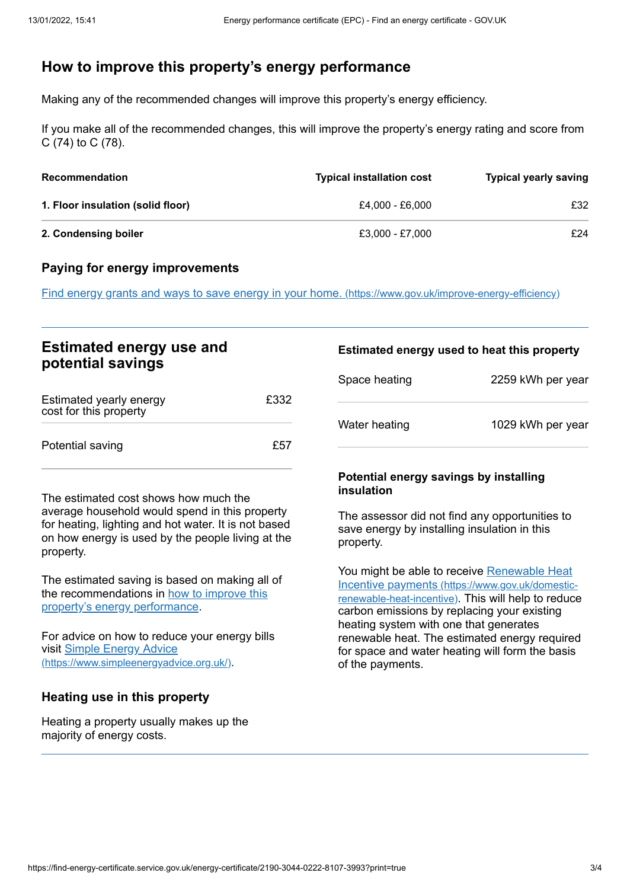# <span id="page-2-0"></span>**How to improve this property's energy performance**

Making any of the recommended changes will improve this property's energy efficiency.

If you make all of the recommended changes, this will improve the property's energy rating and score from C (74) to C (78).

| <b>Recommendation</b>             | <b>Typical installation cost</b> | <b>Typical yearly saving</b> |
|-----------------------------------|----------------------------------|------------------------------|
| 1. Floor insulation (solid floor) | £4.000 - £6.000                  | £32                          |
| 2. Condensing boiler              | £3.000 - £7.000                  | £24                          |

#### **Paying for energy improvements**

Find energy grants and ways to save energy in your home. [\(https://www.gov.uk/improve-energy-efficiency\)](https://www.gov.uk/improve-energy-efficiency)

## **Estimated energy use and potential savings**

| Estimated yearly energy<br>cost for this property | £332 |
|---------------------------------------------------|------|
| Potential saving                                  | £57  |

The estimated cost shows how much the average household would spend in this property for heating, lighting and hot water. It is not based on how energy is used by the people living at the property.

The estimated saving is based on making all of the [recommendations](#page-2-0) in how to improve this property's energy performance.

For advice on how to reduce your energy bills visit Simple Energy Advice [\(https://www.simpleenergyadvice.org.uk/\)](https://www.simpleenergyadvice.org.uk/).

## **Heating use in this property**

Heating a property usually makes up the majority of energy costs.

#### **Estimated energy used to heat this property**

| Space heating | 2259 kWh per year |
|---------------|-------------------|
| Water heating | 1029 kWh per year |

#### **Potential energy savings by installing insulation**

The assessor did not find any opportunities to save energy by installing insulation in this property.

You might be able to receive Renewable Heat Incentive payments [\(https://www.gov.uk/domestic](https://www.gov.uk/domestic-renewable-heat-incentive)renewable-heat-incentive). This will help to reduce carbon emissions by replacing your existing heating system with one that generates renewable heat. The estimated energy required for space and water heating will form the basis of the payments.